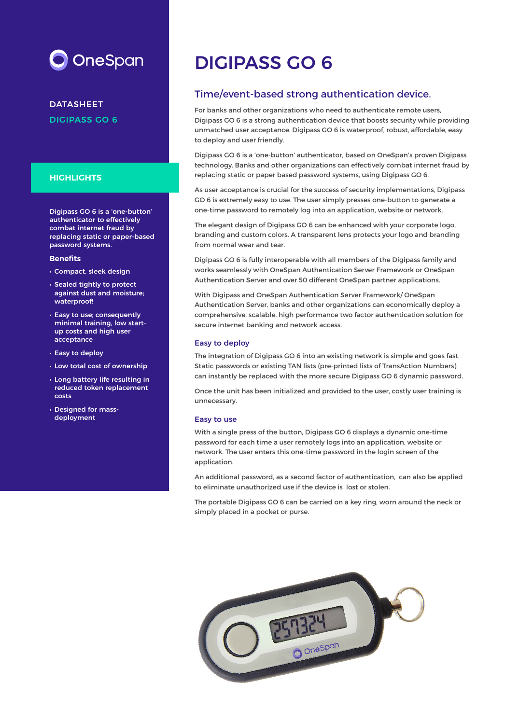# OneSpan

DATASHEET DIGIPASS GO 6

### **HIGHLIGHTS**

Digipass GO 6 is a 'one-button' authenticator to effectively combat internet fraud by replacing static or paper-based password systems.

#### **Benefits**

- Compact, sleek design
- Sealed tightly to protect against dust and moisture; waterproof!
- Easy to use; consequently minimal training, low startup costs and high user acceptance
- Easy to deploy
- Low total cost of ownership
- Long battery life resulting in reduced token replacement costs
- Designed for massdeployment

# DIGIPASS GO 6

## Time/event-based strong authentication device.

For banks and other organizations who need to authenticate remote users, Digipass GO 6 is a strong authentication device that boosts security while providing unmatched user acceptance. Digipass GO 6 is waterproof, robust, affordable, easy to deploy and user friendly.

Digipass GO 6 is a 'one-button' authenticator, based on OneSpan's proven Digipass technology. Banks and other organizations can effectively combat internet fraud by replacing static or paper based password systems, using Digipass GO 6.

As user acceptance is crucial for the success of security implementations, Digipass GO 6 is extremely easy to use. The user simply presses one-button to generate a one-time password to remotely log into an application, website or network.

The elegant design of Digipass GO 6 can be enhanced with your corporate logo, branding and custom colors. A transparent lens protects your logo and branding from normal wear and tear.

Digipass GO 6 is fully interoperable with all members of the Digipass family and works seamlessly with OneSpan Authentication Server Framework or OneSpan Authentication Server and over 50 different OneSpan partner applications.

With Digipass and OneSpan Authentication Server Framework/ OneSpan Authentication Server, banks and other organizations can economically deploy a comprehensive, scalable, high performance two factor authentication solution for secure internet banking and network access.

#### Easy to deploy

The integration of Digipass GO 6 into an existing network is simple and goes fast. Static passwords or existing TAN lists (pre-printed lists of TransAction Numbers) can instantly be replaced with the more secure Digipass GO 6 dynamic password.

Once the unit has been initialized and provided to the user, costly user training is unnecessary.

#### Easy to use

With a single press of the button, Digipass GO 6 displays a dynamic one-time password for each time a user remotely logs into an application, website or network. The user enters this one-time password in the login screen of the application.

An additional password, as a second factor of authentication, can also be applied to eliminate unauthorized use if the device is lost or stolen.

The portable Digipass GO 6 can be carried on a key ring, worn around the neck or simply placed in a pocket or purse.